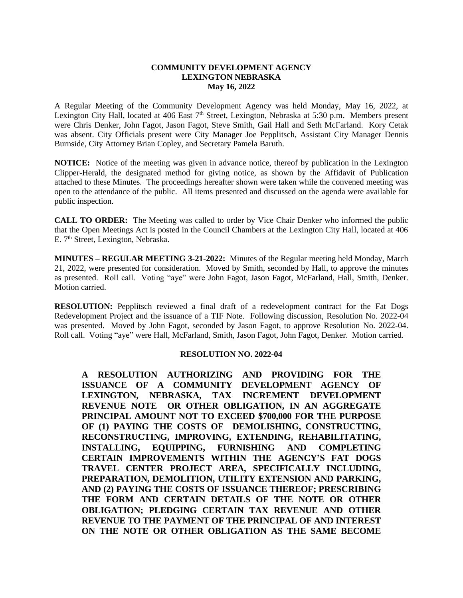## **COMMUNITY DEVELOPMENT AGENCY LEXINGTON NEBRASKA May 16, 2022**

A Regular Meeting of the Community Development Agency was held Monday, May 16, 2022, at Lexington City Hall, located at 406 East 7<sup>th</sup> Street, Lexington, Nebraska at 5:30 p.m. Members present were Chris Denker, John Fagot, Jason Fagot, Steve Smith, Gail Hall and Seth McFarland. Kory Cetak was absent. City Officials present were City Manager Joe Pepplitsch, Assistant City Manager Dennis Burnside, City Attorney Brian Copley, and Secretary Pamela Baruth.

**NOTICE:** Notice of the meeting was given in advance notice, thereof by publication in the Lexington Clipper-Herald, the designated method for giving notice, as shown by the Affidavit of Publication attached to these Minutes. The proceedings hereafter shown were taken while the convened meeting was open to the attendance of the public. All items presented and discussed on the agenda were available for public inspection.

**CALL TO ORDER:** The Meeting was called to order by Vice Chair Denker who informed the public that the Open Meetings Act is posted in the Council Chambers at the Lexington City Hall, located at 406 E. 7<sup>th</sup> Street, Lexington, Nebraska.

**MINUTES – REGULAR MEETING 3-21-2022:** Minutes of the Regular meeting held Monday, March 21, 2022, were presented for consideration. Moved by Smith, seconded by Hall, to approve the minutes as presented. Roll call. Voting "aye" were John Fagot, Jason Fagot, McFarland, Hall, Smith, Denker. Motion carried.

**RESOLUTION:** Pepplitsch reviewed a final draft of a redevelopment contract for the Fat Dogs Redevelopment Project and the issuance of a TIF Note. Following discussion, Resolution No. 2022-04 was presented. Moved by John Fagot, seconded by Jason Fagot, to approve Resolution No. 2022-04. Roll call. Voting "aye" were Hall, McFarland, Smith, Jason Fagot, John Fagot, Denker. Motion carried.

#### **RESOLUTION NO. 2022-04**

**A RESOLUTION AUTHORIZING AND PROVIDING FOR THE ISSUANCE OF A COMMUNITY DEVELOPMENT AGENCY OF LEXINGTON, NEBRASKA, TAX INCREMENT DEVELOPMENT REVENUE NOTE OR OTHER OBLIGATION, IN AN AGGREGATE PRINCIPAL AMOUNT NOT TO EXCEED \$700,000 FOR THE PURPOSE OF (1) PAYING THE COSTS OF DEMOLISHING, CONSTRUCTING, RECONSTRUCTING, IMPROVING, EXTENDING, REHABILITATING, INSTALLING, EQUIPPING, FURNISHING AND COMPLETING CERTAIN IMPROVEMENTS WITHIN THE AGENCY'S FAT DOGS TRAVEL CENTER PROJECT AREA, SPECIFICALLY INCLUDING, PREPARATION, DEMOLITION, UTILITY EXTENSION AND PARKING, AND (2) PAYING THE COSTS OF ISSUANCE THEREOF; PRESCRIBING THE FORM AND CERTAIN DETAILS OF THE NOTE OR OTHER OBLIGATION; PLEDGING CERTAIN TAX REVENUE AND OTHER REVENUE TO THE PAYMENT OF THE PRINCIPAL OF AND INTEREST ON THE NOTE OR OTHER OBLIGATION AS THE SAME BECOME**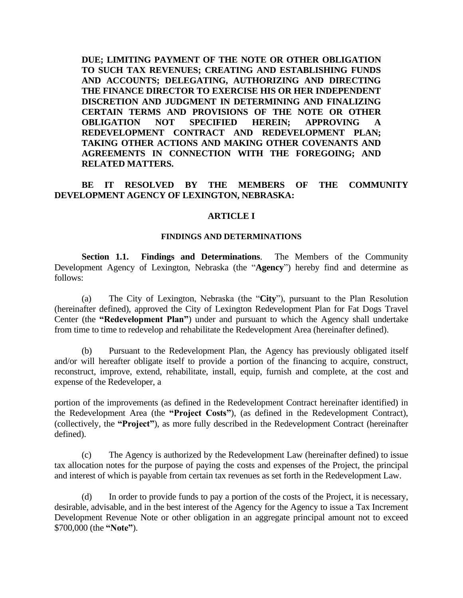**DUE; LIMITING PAYMENT OF THE NOTE OR OTHER OBLIGATION TO SUCH TAX REVENUES; CREATING AND ESTABLISHING FUNDS AND ACCOUNTS; DELEGATING, AUTHORIZING AND DIRECTING THE FINANCE DIRECTOR TO EXERCISE HIS OR HER INDEPENDENT DISCRETION AND JUDGMENT IN DETERMINING AND FINALIZING CERTAIN TERMS AND PROVISIONS OF THE NOTE OR OTHER OBLIGATION NOT SPECIFIED HEREIN; APPROVING A REDEVELOPMENT CONTRACT AND REDEVELOPMENT PLAN; TAKING OTHER ACTIONS AND MAKING OTHER COVENANTS AND AGREEMENTS IN CONNECTION WITH THE FOREGOING; AND RELATED MATTERS.**

# **BE IT RESOLVED BY THE MEMBERS OF THE COMMUNITY DEVELOPMENT AGENCY OF LEXINGTON, NEBRASKA:**

## **ARTICLE I**

## **FINDINGS AND DETERMINATIONS**

**Section 1.1. Findings and Determinations**. The Members of the Community Development Agency of Lexington, Nebraska (the "**Agency**") hereby find and determine as follows:

(a) The City of Lexington, Nebraska (the "**City**"), pursuant to the Plan Resolution (hereinafter defined), approved the City of Lexington Redevelopment Plan for Fat Dogs Travel Center (the **"Redevelopment Plan"**) under and pursuant to which the Agency shall undertake from time to time to redevelop and rehabilitate the Redevelopment Area (hereinafter defined).

(b) Pursuant to the Redevelopment Plan, the Agency has previously obligated itself and/or will hereafter obligate itself to provide a portion of the financing to acquire, construct, reconstruct, improve, extend, rehabilitate, install, equip, furnish and complete, at the cost and expense of the Redeveloper, a

portion of the improvements (as defined in the Redevelopment Contract hereinafter identified) in the Redevelopment Area (the **"Project Costs"**), (as defined in the Redevelopment Contract), (collectively, the **"Project"**), as more fully described in the Redevelopment Contract (hereinafter defined).

(c) The Agency is authorized by the Redevelopment Law (hereinafter defined) to issue tax allocation notes for the purpose of paying the costs and expenses of the Project, the principal and interest of which is payable from certain tax revenues as set forth in the Redevelopment Law.

(d) In order to provide funds to pay a portion of the costs of the Project, it is necessary, desirable, advisable, and in the best interest of the Agency for the Agency to issue a Tax Increment Development Revenue Note or other obligation in an aggregate principal amount not to exceed \$700,000 (the **"Note"**).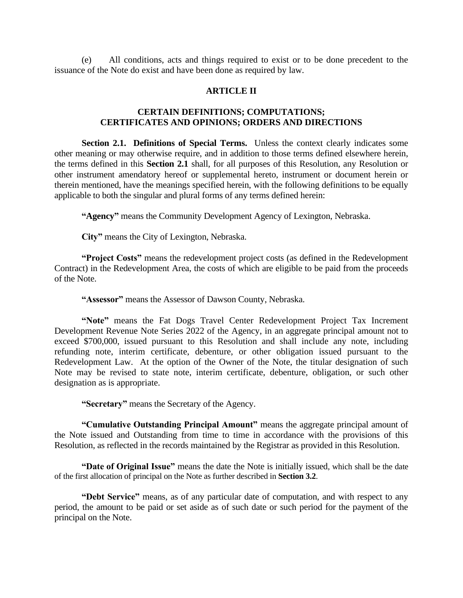(e) All conditions, acts and things required to exist or to be done precedent to the issuance of the Note do exist and have been done as required by law.

## **ARTICLE II**

# **CERTAIN DEFINITIONS; COMPUTATIONS; CERTIFICATES AND OPINIONS; ORDERS AND DIRECTIONS**

**Section 2.1. Definitions of Special Terms.** Unless the context clearly indicates some other meaning or may otherwise require, and in addition to those terms defined elsewhere herein, the terms defined in this **Section 2.1** shall, for all purposes of this Resolution, any Resolution or other instrument amendatory hereof or supplemental hereto, instrument or document herein or therein mentioned, have the meanings specified herein, with the following definitions to be equally applicable to both the singular and plural forms of any terms defined herein:

**"Agency"** means the Community Development Agency of Lexington, Nebraska.

**City"** means the City of Lexington, Nebraska.

**"Project Costs"** means the redevelopment project costs (as defined in the Redevelopment Contract) in the Redevelopment Area, the costs of which are eligible to be paid from the proceeds of the Note.

**"Assessor"** means the Assessor of Dawson County, Nebraska.

**"Note"** means the Fat Dogs Travel Center Redevelopment Project Tax Increment Development Revenue Note Series 2022 of the Agency, in an aggregate principal amount not to exceed \$700,000, issued pursuant to this Resolution and shall include any note, including refunding note, interim certificate, debenture, or other obligation issued pursuant to the Redevelopment Law. At the option of the Owner of the Note, the titular designation of such Note may be revised to state note, interim certificate, debenture, obligation, or such other designation as is appropriate.

**"Secretary"** means the Secretary of the Agency.

**"Cumulative Outstanding Principal Amount"** means the aggregate principal amount of the Note issued and Outstanding from time to time in accordance with the provisions of this Resolution, as reflected in the records maintained by the Registrar as provided in this Resolution.

**"Date of Original Issue"** means the date the Note is initially issued, which shall be the date of the first allocation of principal on the Note as further described in **Section 3.2**.

**"Debt Service"** means, as of any particular date of computation, and with respect to any period, the amount to be paid or set aside as of such date or such period for the payment of the principal on the Note.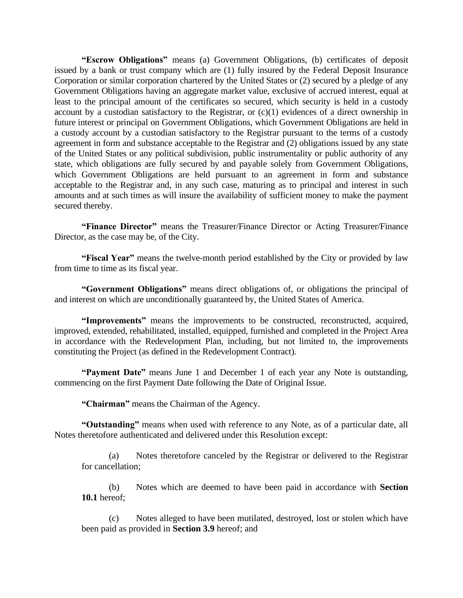**"Escrow Obligations"** means (a) Government Obligations, (b) certificates of deposit issued by a bank or trust company which are (1) fully insured by the Federal Deposit Insurance Corporation or similar corporation chartered by the United States or (2) secured by a pledge of any Government Obligations having an aggregate market value, exclusive of accrued interest, equal at least to the principal amount of the certificates so secured, which security is held in a custody account by a custodian satisfactory to the Registrar, or (c)(1) evidences of a direct ownership in future interest or principal on Government Obligations, which Government Obligations are held in a custody account by a custodian satisfactory to the Registrar pursuant to the terms of a custody agreement in form and substance acceptable to the Registrar and (2) obligations issued by any state of the United States or any political subdivision, public instrumentality or public authority of any state, which obligations are fully secured by and payable solely from Government Obligations, which Government Obligations are held pursuant to an agreement in form and substance acceptable to the Registrar and, in any such case, maturing as to principal and interest in such amounts and at such times as will insure the availability of sufficient money to make the payment secured thereby.

**"Finance Director"** means the Treasurer/Finance Director or Acting Treasurer/Finance Director, as the case may be, of the City.

**"Fiscal Year"** means the twelve-month period established by the City or provided by law from time to time as its fiscal year.

**"Government Obligations"** means direct obligations of, or obligations the principal of and interest on which are unconditionally guaranteed by, the United States of America.

**"Improvements"** means the improvements to be constructed, reconstructed, acquired, improved, extended, rehabilitated, installed, equipped, furnished and completed in the Project Area in accordance with the Redevelopment Plan, including, but not limited to, the improvements constituting the Project (as defined in the Redevelopment Contract).

**"Payment Date"** means June 1 and December 1 of each year any Note is outstanding, commencing on the first Payment Date following the Date of Original Issue.

**"Chairman"** means the Chairman of the Agency.

**"Outstanding"** means when used with reference to any Note, as of a particular date, all Notes theretofore authenticated and delivered under this Resolution except:

(a) Notes theretofore canceled by the Registrar or delivered to the Registrar for cancellation;

(b) Notes which are deemed to have been paid in accordance with **Section 10.1** hereof;

(c) Notes alleged to have been mutilated, destroyed, lost or stolen which have been paid as provided in **Section 3.9** hereof; and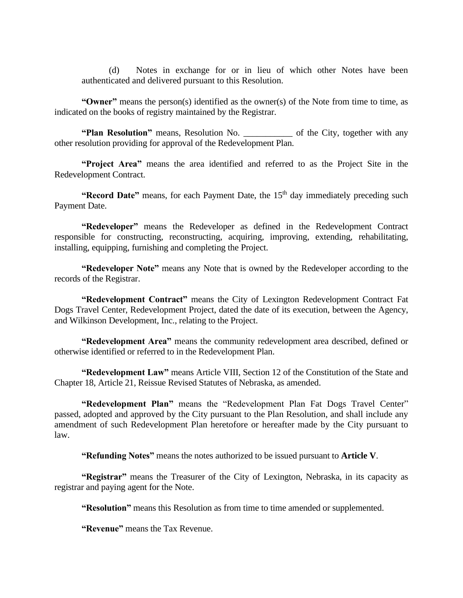(d) Notes in exchange for or in lieu of which other Notes have been authenticated and delivered pursuant to this Resolution.

**"Owner"** means the person(s) identified as the owner(s) of the Note from time to time, as indicated on the books of registry maintained by the Registrar.

**"Plan Resolution"** means, Resolution No. \_\_\_\_\_\_\_\_\_\_\_ of the City, together with any other resolution providing for approval of the Redevelopment Plan.

**"Project Area"** means the area identified and referred to as the Project Site in the Redevelopment Contract.

**"Record Date"** means, for each Payment Date, the 15<sup>th</sup> day immediately preceding such Payment Date.

**"Redeveloper"** means the Redeveloper as defined in the Redevelopment Contract responsible for constructing, reconstructing, acquiring, improving, extending, rehabilitating, installing, equipping, furnishing and completing the Project.

**"Redeveloper Note"** means any Note that is owned by the Redeveloper according to the records of the Registrar.

**"Redevelopment Contract"** means the City of Lexington Redevelopment Contract Fat Dogs Travel Center, Redevelopment Project, dated the date of its execution, between the Agency, and Wilkinson Development, Inc., relating to the Project.

**"Redevelopment Area"** means the community redevelopment area described, defined or otherwise identified or referred to in the Redevelopment Plan.

**"Redevelopment Law"** means Article VIII, Section 12 of the Constitution of the State and Chapter 18, Article 21, Reissue Revised Statutes of Nebraska, as amended.

**"Redevelopment Plan"** means the "Redevelopment Plan Fat Dogs Travel Center" passed, adopted and approved by the City pursuant to the Plan Resolution, and shall include any amendment of such Redevelopment Plan heretofore or hereafter made by the City pursuant to law.

**"Refunding Notes"** means the notes authorized to be issued pursuant to **Article V**.

**"Registrar"** means the Treasurer of the City of Lexington, Nebraska, in its capacity as registrar and paying agent for the Note.

**"Resolution"** means this Resolution as from time to time amended or supplemented.

**"Revenue"** means the Tax Revenue.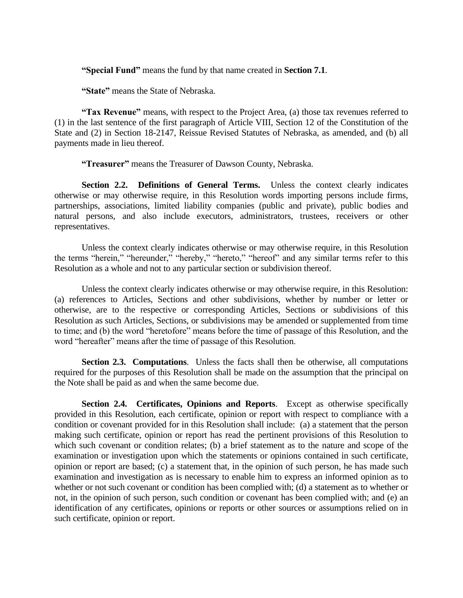**"Special Fund"** means the fund by that name created in **Section 7.1**.

**"State"** means the State of Nebraska.

**"Tax Revenue"** means, with respect to the Project Area, (a) those tax revenues referred to (1) in the last sentence of the first paragraph of Article VIII, Section 12 of the Constitution of the State and (2) in Section 18-2147, Reissue Revised Statutes of Nebraska, as amended, and (b) all payments made in lieu thereof.

**"Treasurer"** means the Treasurer of Dawson County, Nebraska.

**Section 2.2. Definitions of General Terms.** Unless the context clearly indicates otherwise or may otherwise require, in this Resolution words importing persons include firms, partnerships, associations, limited liability companies (public and private), public bodies and natural persons, and also include executors, administrators, trustees, receivers or other representatives.

Unless the context clearly indicates otherwise or may otherwise require, in this Resolution the terms "herein," "hereunder," "hereby," "hereto," "hereof" and any similar terms refer to this Resolution as a whole and not to any particular section or subdivision thereof.

Unless the context clearly indicates otherwise or may otherwise require, in this Resolution: (a) references to Articles, Sections and other subdivisions, whether by number or letter or otherwise, are to the respective or corresponding Articles, Sections or subdivisions of this Resolution as such Articles, Sections, or subdivisions may be amended or supplemented from time to time; and (b) the word "heretofore" means before the time of passage of this Resolution, and the word "hereafter" means after the time of passage of this Resolution.

**Section 2.3. Computations**. Unless the facts shall then be otherwise, all computations required for the purposes of this Resolution shall be made on the assumption that the principal on the Note shall be paid as and when the same become due.

**Section 2.4. Certificates, Opinions and Reports**. Except as otherwise specifically provided in this Resolution, each certificate, opinion or report with respect to compliance with a condition or covenant provided for in this Resolution shall include: (a) a statement that the person making such certificate, opinion or report has read the pertinent provisions of this Resolution to which such covenant or condition relates; (b) a brief statement as to the nature and scope of the examination or investigation upon which the statements or opinions contained in such certificate, opinion or report are based; (c) a statement that, in the opinion of such person, he has made such examination and investigation as is necessary to enable him to express an informed opinion as to whether or not such covenant or condition has been complied with; (d) a statement as to whether or not, in the opinion of such person, such condition or covenant has been complied with; and (e) an identification of any certificates, opinions or reports or other sources or assumptions relied on in such certificate, opinion or report.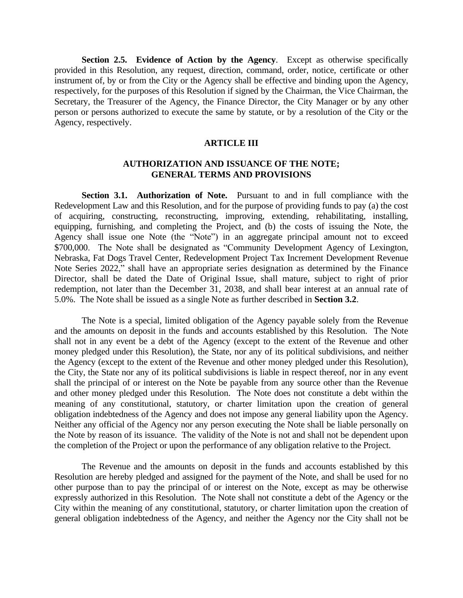**Section 2.5. Evidence of Action by the Agency**. Except as otherwise specifically provided in this Resolution, any request, direction, command, order, notice, certificate or other instrument of, by or from the City or the Agency shall be effective and binding upon the Agency, respectively, for the purposes of this Resolution if signed by the Chairman, the Vice Chairman, the Secretary, the Treasurer of the Agency, the Finance Director, the City Manager or by any other person or persons authorized to execute the same by statute, or by a resolution of the City or the Agency, respectively.

## **ARTICLE III**

## **AUTHORIZATION AND ISSUANCE OF THE NOTE; GENERAL TERMS AND PROVISIONS**

**Section 3.1. Authorization of Note.** Pursuant to and in full compliance with the Redevelopment Law and this Resolution, and for the purpose of providing funds to pay (a) the cost of acquiring, constructing, reconstructing, improving, extending, rehabilitating, installing, equipping, furnishing, and completing the Project, and (b) the costs of issuing the Note, the Agency shall issue one Note (the "Note") in an aggregate principal amount not to exceed \$700,000. The Note shall be designated as "Community Development Agency of Lexington, Nebraska, Fat Dogs Travel Center, Redevelopment Project Tax Increment Development Revenue Note Series 2022," shall have an appropriate series designation as determined by the Finance Director, shall be dated the Date of Original Issue, shall mature, subject to right of prior redemption, not later than the December 31, 2038, and shall bear interest at an annual rate of 5.0%. The Note shall be issued as a single Note as further described in **Section 3.2**.

The Note is a special, limited obligation of the Agency payable solely from the Revenue and the amounts on deposit in the funds and accounts established by this Resolution. The Note shall not in any event be a debt of the Agency (except to the extent of the Revenue and other money pledged under this Resolution), the State, nor any of its political subdivisions, and neither the Agency (except to the extent of the Revenue and other money pledged under this Resolution), the City, the State nor any of its political subdivisions is liable in respect thereof, nor in any event shall the principal of or interest on the Note be payable from any source other than the Revenue and other money pledged under this Resolution. The Note does not constitute a debt within the meaning of any constitutional, statutory, or charter limitation upon the creation of general obligation indebtedness of the Agency and does not impose any general liability upon the Agency. Neither any official of the Agency nor any person executing the Note shall be liable personally on the Note by reason of its issuance. The validity of the Note is not and shall not be dependent upon the completion of the Project or upon the performance of any obligation relative to the Project.

The Revenue and the amounts on deposit in the funds and accounts established by this Resolution are hereby pledged and assigned for the payment of the Note, and shall be used for no other purpose than to pay the principal of or interest on the Note, except as may be otherwise expressly authorized in this Resolution. The Note shall not constitute a debt of the Agency or the City within the meaning of any constitutional, statutory, or charter limitation upon the creation of general obligation indebtedness of the Agency, and neither the Agency nor the City shall not be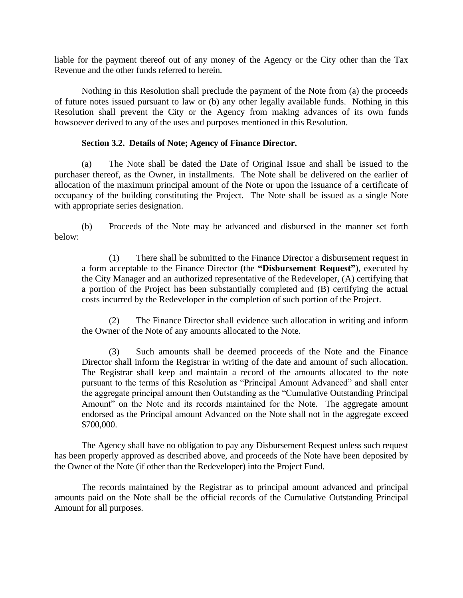liable for the payment thereof out of any money of the Agency or the City other than the Tax Revenue and the other funds referred to herein.

Nothing in this Resolution shall preclude the payment of the Note from (a) the proceeds of future notes issued pursuant to law or (b) any other legally available funds. Nothing in this Resolution shall prevent the City or the Agency from making advances of its own funds howsoever derived to any of the uses and purposes mentioned in this Resolution.

# **Section 3.2. Details of Note; Agency of Finance Director.**

(a) The Note shall be dated the Date of Original Issue and shall be issued to the purchaser thereof, as the Owner, in installments. The Note shall be delivered on the earlier of allocation of the maximum principal amount of the Note or upon the issuance of a certificate of occupancy of the building constituting the Project. The Note shall be issued as a single Note with appropriate series designation.

(b) Proceeds of the Note may be advanced and disbursed in the manner set forth below:

(1) There shall be submitted to the Finance Director a disbursement request in a form acceptable to the Finance Director (the **"Disbursement Request"**), executed by the City Manager and an authorized representative of the Redeveloper, (A) certifying that a portion of the Project has been substantially completed and (B) certifying the actual costs incurred by the Redeveloper in the completion of such portion of the Project.

(2) The Finance Director shall evidence such allocation in writing and inform the Owner of the Note of any amounts allocated to the Note.

(3) Such amounts shall be deemed proceeds of the Note and the Finance Director shall inform the Registrar in writing of the date and amount of such allocation. The Registrar shall keep and maintain a record of the amounts allocated to the note pursuant to the terms of this Resolution as "Principal Amount Advanced" and shall enter the aggregate principal amount then Outstanding as the "Cumulative Outstanding Principal Amount" on the Note and its records maintained for the Note. The aggregate amount endorsed as the Principal amount Advanced on the Note shall not in the aggregate exceed \$700,000.

The Agency shall have no obligation to pay any Disbursement Request unless such request has been properly approved as described above, and proceeds of the Note have been deposited by the Owner of the Note (if other than the Redeveloper) into the Project Fund.

The records maintained by the Registrar as to principal amount advanced and principal amounts paid on the Note shall be the official records of the Cumulative Outstanding Principal Amount for all purposes.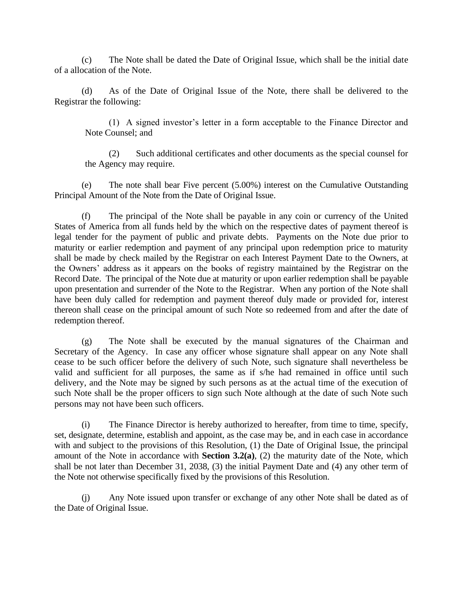(c) The Note shall be dated the Date of Original Issue, which shall be the initial date of a allocation of the Note.

(d) As of the Date of Original Issue of the Note, there shall be delivered to the Registrar the following:

(1) A signed investor's letter in a form acceptable to the Finance Director and Note Counsel; and

(2) Such additional certificates and other documents as the special counsel for the Agency may require.

(e) The note shall bear Five percent (5.00%) interest on the Cumulative Outstanding Principal Amount of the Note from the Date of Original Issue.

(f) The principal of the Note shall be payable in any coin or currency of the United States of America from all funds held by the which on the respective dates of payment thereof is legal tender for the payment of public and private debts. Payments on the Note due prior to maturity or earlier redemption and payment of any principal upon redemption price to maturity shall be made by check mailed by the Registrar on each Interest Payment Date to the Owners, at the Owners' address as it appears on the books of registry maintained by the Registrar on the Record Date. The principal of the Note due at maturity or upon earlier redemption shall be payable upon presentation and surrender of the Note to the Registrar. When any portion of the Note shall have been duly called for redemption and payment thereof duly made or provided for, interest thereon shall cease on the principal amount of such Note so redeemed from and after the date of redemption thereof.

(g) The Note shall be executed by the manual signatures of the Chairman and Secretary of the Agency. In case any officer whose signature shall appear on any Note shall cease to be such officer before the delivery of such Note, such signature shall nevertheless be valid and sufficient for all purposes, the same as if s/he had remained in office until such delivery, and the Note may be signed by such persons as at the actual time of the execution of such Note shall be the proper officers to sign such Note although at the date of such Note such persons may not have been such officers.

(i) The Finance Director is hereby authorized to hereafter, from time to time, specify, set, designate, determine, establish and appoint, as the case may be, and in each case in accordance with and subject to the provisions of this Resolution, (1) the Date of Original Issue, the principal amount of the Note in accordance with **Section 3.2(a)**, (2) the maturity date of the Note, which shall be not later than December 31, 2038, (3) the initial Payment Date and (4) any other term of the Note not otherwise specifically fixed by the provisions of this Resolution.

(j) Any Note issued upon transfer or exchange of any other Note shall be dated as of the Date of Original Issue.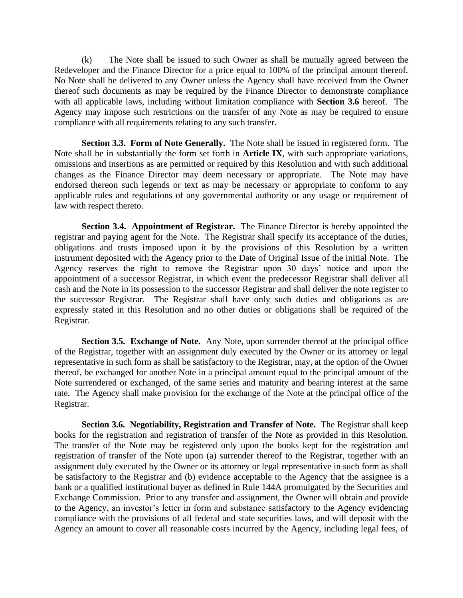(k) The Note shall be issued to such Owner as shall be mutually agreed between the Redeveloper and the Finance Director for a price equal to 100% of the principal amount thereof. No Note shall be delivered to any Owner unless the Agency shall have received from the Owner thereof such documents as may be required by the Finance Director to demonstrate compliance with all applicable laws, including without limitation compliance with **Section 3.6** hereof. The Agency may impose such restrictions on the transfer of any Note as may be required to ensure compliance with all requirements relating to any such transfer.

**Section 3.3. Form of Note Generally.** The Note shall be issued in registered form. The Note shall be in substantially the form set forth in **Article IX**, with such appropriate variations, omissions and insertions as are permitted or required by this Resolution and with such additional changes as the Finance Director may deem necessary or appropriate. The Note may have endorsed thereon such legends or text as may be necessary or appropriate to conform to any applicable rules and regulations of any governmental authority or any usage or requirement of law with respect thereto.

**Section 3.4. Appointment of Registrar.** The Finance Director is hereby appointed the registrar and paying agent for the Note. The Registrar shall specify its acceptance of the duties, obligations and trusts imposed upon it by the provisions of this Resolution by a written instrument deposited with the Agency prior to the Date of Original Issue of the initial Note. The Agency reserves the right to remove the Registrar upon 30 days' notice and upon the appointment of a successor Registrar, in which event the predecessor Registrar shall deliver all cash and the Note in its possession to the successor Registrar and shall deliver the note register to the successor Registrar. The Registrar shall have only such duties and obligations as are expressly stated in this Resolution and no other duties or obligations shall be required of the Registrar.

**Section 3.5. Exchange of Note.** Any Note, upon surrender thereof at the principal office of the Registrar, together with an assignment duly executed by the Owner or its attorney or legal representative in such form as shall be satisfactory to the Registrar, may, at the option of the Owner thereof, be exchanged for another Note in a principal amount equal to the principal amount of the Note surrendered or exchanged, of the same series and maturity and bearing interest at the same rate. The Agency shall make provision for the exchange of the Note at the principal office of the Registrar.

**Section 3.6. Negotiability, Registration and Transfer of Note.** The Registrar shall keep books for the registration and registration of transfer of the Note as provided in this Resolution. The transfer of the Note may be registered only upon the books kept for the registration and registration of transfer of the Note upon (a) surrender thereof to the Registrar, together with an assignment duly executed by the Owner or its attorney or legal representative in such form as shall be satisfactory to the Registrar and (b) evidence acceptable to the Agency that the assignee is a bank or a qualified institutional buyer as defined in Rule 144A promulgated by the Securities and Exchange Commission. Prior to any transfer and assignment, the Owner will obtain and provide to the Agency, an investor's letter in form and substance satisfactory to the Agency evidencing compliance with the provisions of all federal and state securities laws, and will deposit with the Agency an amount to cover all reasonable costs incurred by the Agency, including legal fees, of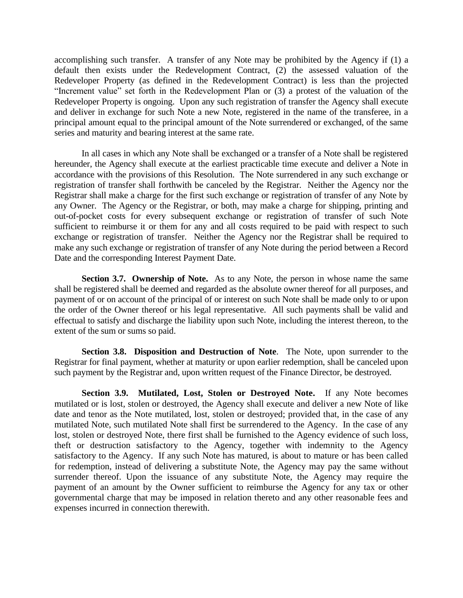accomplishing such transfer. A transfer of any Note may be prohibited by the Agency if (1) a default then exists under the Redevelopment Contract, (2) the assessed valuation of the Redeveloper Property (as defined in the Redevelopment Contract) is less than the projected "Increment value" set forth in the Redevelopment Plan or (3) a protest of the valuation of the Redeveloper Property is ongoing. Upon any such registration of transfer the Agency shall execute and deliver in exchange for such Note a new Note, registered in the name of the transferee, in a principal amount equal to the principal amount of the Note surrendered or exchanged, of the same series and maturity and bearing interest at the same rate.

In all cases in which any Note shall be exchanged or a transfer of a Note shall be registered hereunder, the Agency shall execute at the earliest practicable time execute and deliver a Note in accordance with the provisions of this Resolution. The Note surrendered in any such exchange or registration of transfer shall forthwith be canceled by the Registrar. Neither the Agency nor the Registrar shall make a charge for the first such exchange or registration of transfer of any Note by any Owner. The Agency or the Registrar, or both, may make a charge for shipping, printing and out-of-pocket costs for every subsequent exchange or registration of transfer of such Note sufficient to reimburse it or them for any and all costs required to be paid with respect to such exchange or registration of transfer. Neither the Agency nor the Registrar shall be required to make any such exchange or registration of transfer of any Note during the period between a Record Date and the corresponding Interest Payment Date.

**Section 3.7. Ownership of Note.** As to any Note, the person in whose name the same shall be registered shall be deemed and regarded as the absolute owner thereof for all purposes, and payment of or on account of the principal of or interest on such Note shall be made only to or upon the order of the Owner thereof or his legal representative. All such payments shall be valid and effectual to satisfy and discharge the liability upon such Note, including the interest thereon, to the extent of the sum or sums so paid.

**Section 3.8. Disposition and Destruction of Note**. The Note, upon surrender to the Registrar for final payment, whether at maturity or upon earlier redemption, shall be canceled upon such payment by the Registrar and, upon written request of the Finance Director, be destroyed.

**Section 3.9. Mutilated, Lost, Stolen or Destroyed Note.** If any Note becomes mutilated or is lost, stolen or destroyed, the Agency shall execute and deliver a new Note of like date and tenor as the Note mutilated, lost, stolen or destroyed; provided that, in the case of any mutilated Note, such mutilated Note shall first be surrendered to the Agency. In the case of any lost, stolen or destroyed Note, there first shall be furnished to the Agency evidence of such loss, theft or destruction satisfactory to the Agency, together with indemnity to the Agency satisfactory to the Agency. If any such Note has matured, is about to mature or has been called for redemption, instead of delivering a substitute Note, the Agency may pay the same without surrender thereof. Upon the issuance of any substitute Note, the Agency may require the payment of an amount by the Owner sufficient to reimburse the Agency for any tax or other governmental charge that may be imposed in relation thereto and any other reasonable fees and expenses incurred in connection therewith.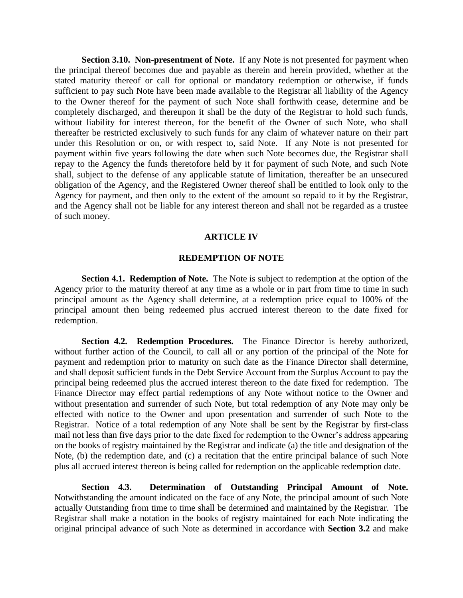**Section 3.10. Non-presentment of Note.** If any Note is not presented for payment when the principal thereof becomes due and payable as therein and herein provided, whether at the stated maturity thereof or call for optional or mandatory redemption or otherwise, if funds sufficient to pay such Note have been made available to the Registrar all liability of the Agency to the Owner thereof for the payment of such Note shall forthwith cease, determine and be completely discharged, and thereupon it shall be the duty of the Registrar to hold such funds, without liability for interest thereon, for the benefit of the Owner of such Note, who shall thereafter be restricted exclusively to such funds for any claim of whatever nature on their part under this Resolution or on, or with respect to, said Note. If any Note is not presented for payment within five years following the date when such Note becomes due, the Registrar shall repay to the Agency the funds theretofore held by it for payment of such Note, and such Note shall, subject to the defense of any applicable statute of limitation, thereafter be an unsecured obligation of the Agency, and the Registered Owner thereof shall be entitled to look only to the Agency for payment, and then only to the extent of the amount so repaid to it by the Registrar, and the Agency shall not be liable for any interest thereon and shall not be regarded as a trustee of such money.

#### **ARTICLE IV**

#### **REDEMPTION OF NOTE**

**Section 4.1. Redemption of Note.** The Note is subject to redemption at the option of the Agency prior to the maturity thereof at any time as a whole or in part from time to time in such principal amount as the Agency shall determine, at a redemption price equal to 100% of the principal amount then being redeemed plus accrued interest thereon to the date fixed for redemption.

**Section 4.2. Redemption Procedures.** The Finance Director is hereby authorized, without further action of the Council, to call all or any portion of the principal of the Note for payment and redemption prior to maturity on such date as the Finance Director shall determine, and shall deposit sufficient funds in the Debt Service Account from the Surplus Account to pay the principal being redeemed plus the accrued interest thereon to the date fixed for redemption. The Finance Director may effect partial redemptions of any Note without notice to the Owner and without presentation and surrender of such Note, but total redemption of any Note may only be effected with notice to the Owner and upon presentation and surrender of such Note to the Registrar. Notice of a total redemption of any Note shall be sent by the Registrar by first-class mail not less than five days prior to the date fixed for redemption to the Owner's address appearing on the books of registry maintained by the Registrar and indicate (a) the title and designation of the Note, (b) the redemption date, and (c) a recitation that the entire principal balance of such Note plus all accrued interest thereon is being called for redemption on the applicable redemption date.

**Section 4.3. Determination of Outstanding Principal Amount of Note.** Notwithstanding the amount indicated on the face of any Note, the principal amount of such Note actually Outstanding from time to time shall be determined and maintained by the Registrar. The Registrar shall make a notation in the books of registry maintained for each Note indicating the original principal advance of such Note as determined in accordance with **Section 3.2** and make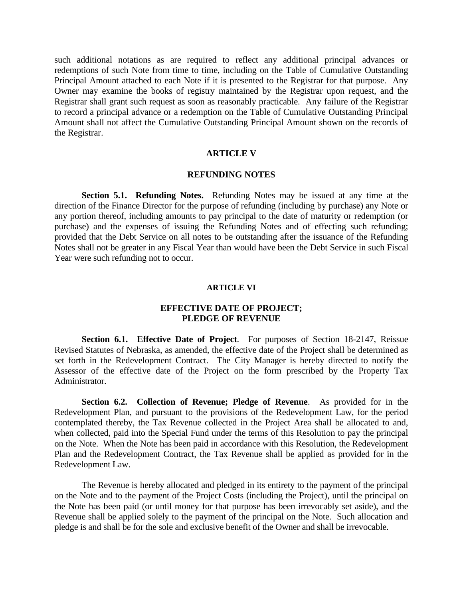such additional notations as are required to reflect any additional principal advances or redemptions of such Note from time to time, including on the Table of Cumulative Outstanding Principal Amount attached to each Note if it is presented to the Registrar for that purpose. Any Owner may examine the books of registry maintained by the Registrar upon request, and the Registrar shall grant such request as soon as reasonably practicable. Any failure of the Registrar to record a principal advance or a redemption on the Table of Cumulative Outstanding Principal Amount shall not affect the Cumulative Outstanding Principal Amount shown on the records of the Registrar.

## **ARTICLE V**

## **REFUNDING NOTES**

**Section 5.1. Refunding Notes.** Refunding Notes may be issued at any time at the direction of the Finance Director for the purpose of refunding (including by purchase) any Note or any portion thereof, including amounts to pay principal to the date of maturity or redemption (or purchase) and the expenses of issuing the Refunding Notes and of effecting such refunding; provided that the Debt Service on all notes to be outstanding after the issuance of the Refunding Notes shall not be greater in any Fiscal Year than would have been the Debt Service in such Fiscal Year were such refunding not to occur.

#### **ARTICLE VI**

## **EFFECTIVE DATE OF PROJECT; PLEDGE OF REVENUE**

**Section 6.1. Effective Date of Project**. For purposes of Section 18-2147, Reissue Revised Statutes of Nebraska, as amended, the effective date of the Project shall be determined as set forth in the Redevelopment Contract. The City Manager is hereby directed to notify the Assessor of the effective date of the Project on the form prescribed by the Property Tax Administrator.

**Section 6.2. Collection of Revenue; Pledge of Revenue**. As provided for in the Redevelopment Plan, and pursuant to the provisions of the Redevelopment Law, for the period contemplated thereby, the Tax Revenue collected in the Project Area shall be allocated to and, when collected, paid into the Special Fund under the terms of this Resolution to pay the principal on the Note. When the Note has been paid in accordance with this Resolution, the Redevelopment Plan and the Redevelopment Contract, the Tax Revenue shall be applied as provided for in the Redevelopment Law.

The Revenue is hereby allocated and pledged in its entirety to the payment of the principal on the Note and to the payment of the Project Costs (including the Project), until the principal on the Note has been paid (or until money for that purpose has been irrevocably set aside), and the Revenue shall be applied solely to the payment of the principal on the Note. Such allocation and pledge is and shall be for the sole and exclusive benefit of the Owner and shall be irrevocable.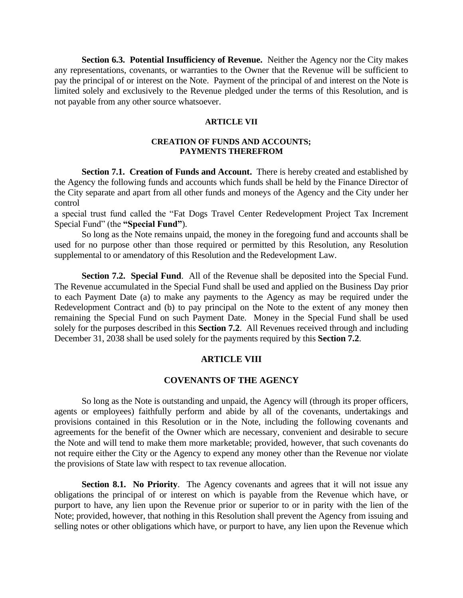**Section 6.3. Potential Insufficiency of Revenue.** Neither the Agency nor the City makes any representations, covenants, or warranties to the Owner that the Revenue will be sufficient to pay the principal of or interest on the Note. Payment of the principal of and interest on the Note is limited solely and exclusively to the Revenue pledged under the terms of this Resolution, and is not payable from any other source whatsoever.

#### **ARTICLE VII**

## **CREATION OF FUNDS AND ACCOUNTS; PAYMENTS THEREFROM**

**Section 7.1. Creation of Funds and Account.** There is hereby created and established by the Agency the following funds and accounts which funds shall be held by the Finance Director of the City separate and apart from all other funds and moneys of the Agency and the City under her control

a special trust fund called the "Fat Dogs Travel Center Redevelopment Project Tax Increment Special Fund" (the **"Special Fund"**).

So long as the Note remains unpaid, the money in the foregoing fund and accounts shall be used for no purpose other than those required or permitted by this Resolution, any Resolution supplemental to or amendatory of this Resolution and the Redevelopment Law.

**Section 7.2. Special Fund**. All of the Revenue shall be deposited into the Special Fund. The Revenue accumulated in the Special Fund shall be used and applied on the Business Day prior to each Payment Date (a) to make any payments to the Agency as may be required under the Redevelopment Contract and (b) to pay principal on the Note to the extent of any money then remaining the Special Fund on such Payment Date. Money in the Special Fund shall be used solely for the purposes described in this **Section 7.2**. All Revenues received through and including December 31, 2038 shall be used solely for the payments required by this **Section 7.2**.

## **ARTICLE VIII**

## **COVENANTS OF THE AGENCY**

So long as the Note is outstanding and unpaid, the Agency will (through its proper officers, agents or employees) faithfully perform and abide by all of the covenants, undertakings and provisions contained in this Resolution or in the Note, including the following covenants and agreements for the benefit of the Owner which are necessary, convenient and desirable to secure the Note and will tend to make them more marketable; provided, however, that such covenants do not require either the City or the Agency to expend any money other than the Revenue nor violate the provisions of State law with respect to tax revenue allocation.

**Section 8.1. No Priority.** The Agency covenants and agrees that it will not issue any obligations the principal of or interest on which is payable from the Revenue which have, or purport to have, any lien upon the Revenue prior or superior to or in parity with the lien of the Note; provided, however, that nothing in this Resolution shall prevent the Agency from issuing and selling notes or other obligations which have, or purport to have, any lien upon the Revenue which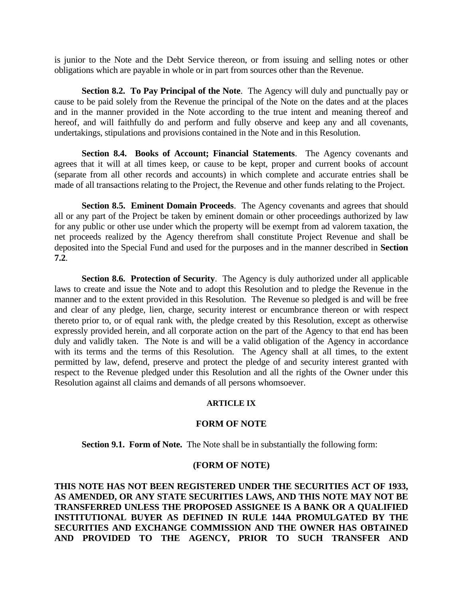is junior to the Note and the Debt Service thereon, or from issuing and selling notes or other obligations which are payable in whole or in part from sources other than the Revenue.

**Section 8.2. To Pay Principal of the Note**. The Agency will duly and punctually pay or cause to be paid solely from the Revenue the principal of the Note on the dates and at the places and in the manner provided in the Note according to the true intent and meaning thereof and hereof, and will faithfully do and perform and fully observe and keep any and all covenants, undertakings, stipulations and provisions contained in the Note and in this Resolution.

**Section 8.4. Books of Account; Financial Statements**. The Agency covenants and agrees that it will at all times keep, or cause to be kept, proper and current books of account (separate from all other records and accounts) in which complete and accurate entries shall be made of all transactions relating to the Project, the Revenue and other funds relating to the Project.

**Section 8.5. Eminent Domain Proceeds**. The Agency covenants and agrees that should all or any part of the Project be taken by eminent domain or other proceedings authorized by law for any public or other use under which the property will be exempt from ad valorem taxation, the net proceeds realized by the Agency therefrom shall constitute Project Revenue and shall be deposited into the Special Fund and used for the purposes and in the manner described in **Section 7.2**.

**Section 8.6. Protection of Security**. The Agency is duly authorized under all applicable laws to create and issue the Note and to adopt this Resolution and to pledge the Revenue in the manner and to the extent provided in this Resolution. The Revenue so pledged is and will be free and clear of any pledge, lien, charge, security interest or encumbrance thereon or with respect thereto prior to, or of equal rank with, the pledge created by this Resolution, except as otherwise expressly provided herein, and all corporate action on the part of the Agency to that end has been duly and validly taken. The Note is and will be a valid obligation of the Agency in accordance with its terms and the terms of this Resolution. The Agency shall at all times, to the extent permitted by law, defend, preserve and protect the pledge of and security interest granted with respect to the Revenue pledged under this Resolution and all the rights of the Owner under this Resolution against all claims and demands of all persons whomsoever.

## **ARTICLE IX**

## **FORM OF NOTE**

**Section 9.1. Form of Note.** The Note shall be in substantially the following form:

#### **(FORM OF NOTE)**

**THIS NOTE HAS NOT BEEN REGISTERED UNDER THE SECURITIES ACT OF 1933, AS AMENDED, OR ANY STATE SECURITIES LAWS, AND THIS NOTE MAY NOT BE TRANSFERRED UNLESS THE PROPOSED ASSIGNEE IS A BANK OR A QUALIFIED INSTITUTIONAL BUYER AS DEFINED IN RULE 144A PROMULGATED BY THE SECURITIES AND EXCHANGE COMMISSION AND THE OWNER HAS OBTAINED AND PROVIDED TO THE AGENCY, PRIOR TO SUCH TRANSFER AND**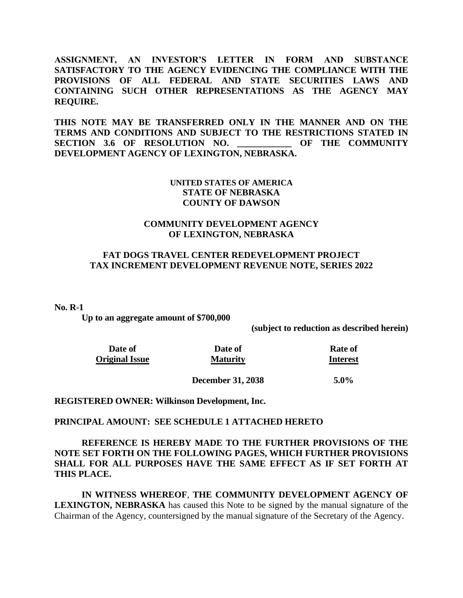**ASSIGNMENT, AN INVESTOR'S LETTER IN FORM AND SUBSTANCE SATISFACTORY TO THE AGENCY EVIDENCING THE COMPLIANCE WITH THE PROVISIONS OF ALL FEDERAL AND STATE SECURITIES LAWS AND CONTAINING SUCH OTHER REPRESENTATIONS AS THE AGENCY MAY REQUIRE.** 

**THIS NOTE MAY BE TRANSFERRED ONLY IN THE MANNER AND ON THE TERMS AND CONDITIONS AND SUBJECT TO THE RESTRICTIONS STATED IN SECTION 3.6 OF RESOLUTION NO. \_\_\_\_\_\_\_\_\_\_\_\_ OF THE COMMUNITY DEVELOPMENT AGENCY OF LEXINGTON, NEBRASKA.**

# **UNITED STATES OF AMERICA STATE OF NEBRASKA COUNTY OF DAWSON**

# **COMMUNITY DEVELOPMENT AGENCY OF LEXINGTON, NEBRASKA**

# **FAT DOGS TRAVEL CENTER REDEVELOPMENT PROJECT TAX INCREMENT DEVELOPMENT REVENUE NOTE, SERIES 2022**

**No. R-1**

**Up to an aggregate amount of \$700,000**

**(subject to reduction as described herein)**

| Date of               | Date of         | <b>Rate of</b>  |
|-----------------------|-----------------|-----------------|
| <b>Original Issue</b> | <b>Maturity</b> | <b>Interest</b> |
|                       |                 |                 |

**December 31, 2038 5.0%**

**REGISTERED OWNER: Wilkinson Development, Inc.**

#### **PRINCIPAL AMOUNT: SEE SCHEDULE 1 ATTACHED HERETO**

**REFERENCE IS HEREBY MADE TO THE FURTHER PROVISIONS OF THE NOTE SET FORTH ON THE FOLLOWING PAGES, WHICH FURTHER PROVISIONS SHALL FOR ALL PURPOSES HAVE THE SAME EFFECT AS IF SET FORTH AT THIS PLACE.**

**IN WITNESS WHEREOF**, **THE COMMUNITY DEVELOPMENT AGENCY OF LEXINGTON, NEBRASKA** has caused this Note to be signed by the manual signature of the Chairman of the Agency, countersigned by the manual signature of the Secretary of the Agency.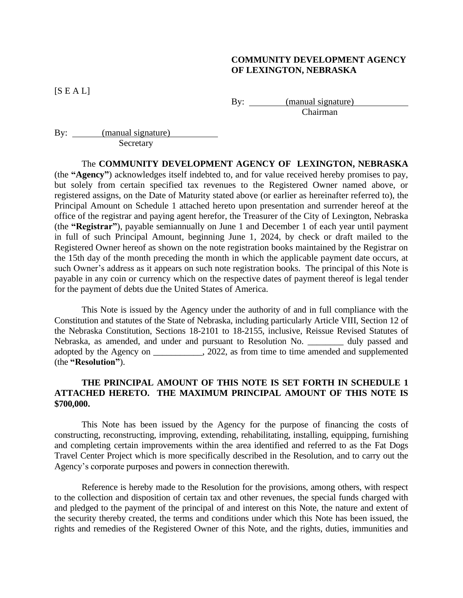# **COMMUNITY DEVELOPMENT AGENCY OF LEXINGTON, NEBRASKA**

 $[S E A L]$ 

By: <u>(manual signature)</u> Chairman

By: <u>(manual signature)</u> **Secretary** 

The **COMMUNITY DEVELOPMENT AGENCY OF LEXINGTON, NEBRASKA** (the **"Agency"**) acknowledges itself indebted to, and for value received hereby promises to pay, but solely from certain specified tax revenues to the Registered Owner named above, or registered assigns, on the Date of Maturity stated above (or earlier as hereinafter referred to), the Principal Amount on Schedule 1 attached hereto upon presentation and surrender hereof at the office of the registrar and paying agent herefor, the Treasurer of the City of Lexington, Nebraska (the **"Registrar"**), payable semiannually on June 1 and December 1 of each year until payment in full of such Principal Amount, beginning June 1, 2024, by check or draft mailed to the Registered Owner hereof as shown on the note registration books maintained by the Registrar on the 15th day of the month preceding the month in which the applicable payment date occurs, at such Owner's address as it appears on such note registration books. The principal of this Note is payable in any coin or currency which on the respective dates of payment thereof is legal tender for the payment of debts due the United States of America.

This Note is issued by the Agency under the authority of and in full compliance with the Constitution and statutes of the State of Nebraska, including particularly Article VIII, Section 12 of the Nebraska Constitution, Sections 18-2101 to 18-2155, inclusive, Reissue Revised Statutes of Nebraska, as amended, and under and pursuant to Resolution No. \_\_\_\_\_\_ duly passed and adopted by the Agency on \_\_\_\_\_\_\_\_\_\_\_, 2022, as from time to time amended and supplemented (the **"Resolution"**).

# **THE PRINCIPAL AMOUNT OF THIS NOTE IS SET FORTH IN SCHEDULE 1 ATTACHED HERETO. THE MAXIMUM PRINCIPAL AMOUNT OF THIS NOTE IS \$700,000.**

This Note has been issued by the Agency for the purpose of financing the costs of constructing, reconstructing, improving, extending, rehabilitating, installing, equipping, furnishing and completing certain improvements within the area identified and referred to as the Fat Dogs Travel Center Project which is more specifically described in the Resolution, and to carry out the Agency's corporate purposes and powers in connection therewith.

Reference is hereby made to the Resolution for the provisions, among others, with respect to the collection and disposition of certain tax and other revenues, the special funds charged with and pledged to the payment of the principal of and interest on this Note, the nature and extent of the security thereby created, the terms and conditions under which this Note has been issued, the rights and remedies of the Registered Owner of this Note, and the rights, duties, immunities and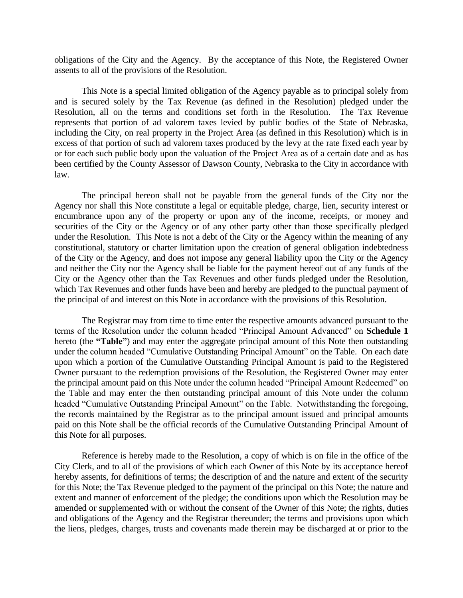obligations of the City and the Agency. By the acceptance of this Note, the Registered Owner assents to all of the provisions of the Resolution.

This Note is a special limited obligation of the Agency payable as to principal solely from and is secured solely by the Tax Revenue (as defined in the Resolution) pledged under the Resolution, all on the terms and conditions set forth in the Resolution. The Tax Revenue represents that portion of ad valorem taxes levied by public bodies of the State of Nebraska, including the City, on real property in the Project Area (as defined in this Resolution) which is in excess of that portion of such ad valorem taxes produced by the levy at the rate fixed each year by or for each such public body upon the valuation of the Project Area as of a certain date and as has been certified by the County Assessor of Dawson County, Nebraska to the City in accordance with law.

The principal hereon shall not be payable from the general funds of the City nor the Agency nor shall this Note constitute a legal or equitable pledge, charge, lien, security interest or encumbrance upon any of the property or upon any of the income, receipts, or money and securities of the City or the Agency or of any other party other than those specifically pledged under the Resolution. This Note is not a debt of the City or the Agency within the meaning of any constitutional, statutory or charter limitation upon the creation of general obligation indebtedness of the City or the Agency, and does not impose any general liability upon the City or the Agency and neither the City nor the Agency shall be liable for the payment hereof out of any funds of the City or the Agency other than the Tax Revenues and other funds pledged under the Resolution, which Tax Revenues and other funds have been and hereby are pledged to the punctual payment of the principal of and interest on this Note in accordance with the provisions of this Resolution.

The Registrar may from time to time enter the respective amounts advanced pursuant to the terms of the Resolution under the column headed "Principal Amount Advanced" on **Schedule 1** hereto (the **"Table"**) and may enter the aggregate principal amount of this Note then outstanding under the column headed "Cumulative Outstanding Principal Amount" on the Table. On each date upon which a portion of the Cumulative Outstanding Principal Amount is paid to the Registered Owner pursuant to the redemption provisions of the Resolution, the Registered Owner may enter the principal amount paid on this Note under the column headed "Principal Amount Redeemed" on the Table and may enter the then outstanding principal amount of this Note under the column headed "Cumulative Outstanding Principal Amount" on the Table. Notwithstanding the foregoing, the records maintained by the Registrar as to the principal amount issued and principal amounts paid on this Note shall be the official records of the Cumulative Outstanding Principal Amount of this Note for all purposes.

Reference is hereby made to the Resolution, a copy of which is on file in the office of the City Clerk, and to all of the provisions of which each Owner of this Note by its acceptance hereof hereby assents, for definitions of terms; the description of and the nature and extent of the security for this Note; the Tax Revenue pledged to the payment of the principal on this Note; the nature and extent and manner of enforcement of the pledge; the conditions upon which the Resolution may be amended or supplemented with or without the consent of the Owner of this Note; the rights, duties and obligations of the Agency and the Registrar thereunder; the terms and provisions upon which the liens, pledges, charges, trusts and covenants made therein may be discharged at or prior to the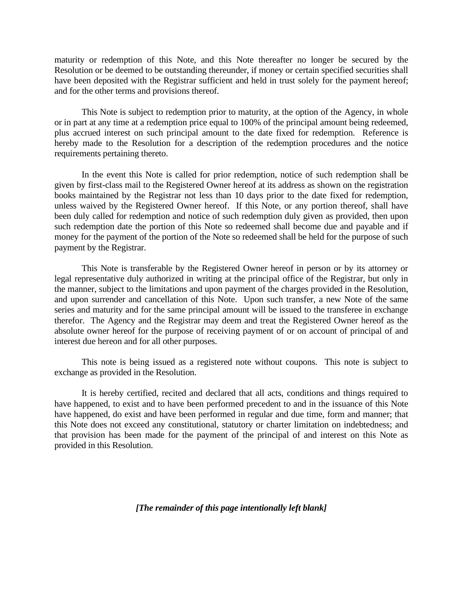maturity or redemption of this Note, and this Note thereafter no longer be secured by the Resolution or be deemed to be outstanding thereunder, if money or certain specified securities shall have been deposited with the Registrar sufficient and held in trust solely for the payment hereof; and for the other terms and provisions thereof.

This Note is subject to redemption prior to maturity, at the option of the Agency, in whole or in part at any time at a redemption price equal to 100% of the principal amount being redeemed, plus accrued interest on such principal amount to the date fixed for redemption. Reference is hereby made to the Resolution for a description of the redemption procedures and the notice requirements pertaining thereto.

In the event this Note is called for prior redemption, notice of such redemption shall be given by first-class mail to the Registered Owner hereof at its address as shown on the registration books maintained by the Registrar not less than 10 days prior to the date fixed for redemption, unless waived by the Registered Owner hereof. If this Note, or any portion thereof, shall have been duly called for redemption and notice of such redemption duly given as provided, then upon such redemption date the portion of this Note so redeemed shall become due and payable and if money for the payment of the portion of the Note so redeemed shall be held for the purpose of such payment by the Registrar.

This Note is transferable by the Registered Owner hereof in person or by its attorney or legal representative duly authorized in writing at the principal office of the Registrar, but only in the manner, subject to the limitations and upon payment of the charges provided in the Resolution, and upon surrender and cancellation of this Note. Upon such transfer, a new Note of the same series and maturity and for the same principal amount will be issued to the transferee in exchange therefor. The Agency and the Registrar may deem and treat the Registered Owner hereof as the absolute owner hereof for the purpose of receiving payment of or on account of principal of and interest due hereon and for all other purposes.

This note is being issued as a registered note without coupons. This note is subject to exchange as provided in the Resolution.

It is hereby certified, recited and declared that all acts, conditions and things required to have happened, to exist and to have been performed precedent to and in the issuance of this Note have happened, do exist and have been performed in regular and due time, form and manner; that this Note does not exceed any constitutional, statutory or charter limitation on indebtedness; and that provision has been made for the payment of the principal of and interest on this Note as provided in this Resolution.

*[The remainder of this page intentionally left blank]*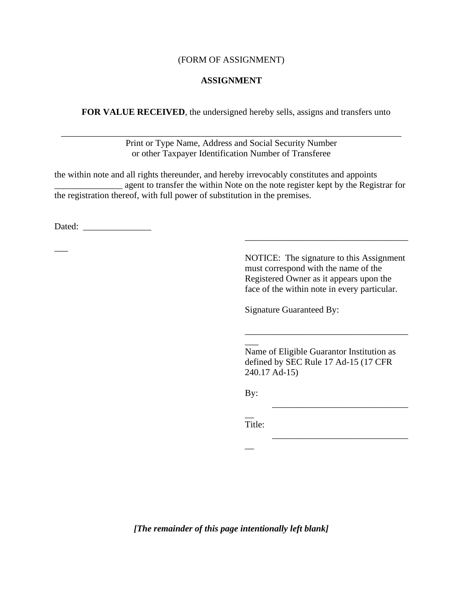## (FORM OF ASSIGNMENT)

# **ASSIGNMENT**

**FOR VALUE RECEIVED**, the undersigned hereby sells, assigns and transfers unto

Print or Type Name, Address and Social Security Number or other Taxpayer Identification Number of Transferee

\_\_\_\_\_\_\_\_\_\_\_\_\_\_\_\_\_\_\_\_\_\_\_\_\_\_\_\_\_\_\_\_\_\_\_\_\_\_\_\_\_\_\_\_\_\_\_\_\_\_\_\_\_\_\_\_\_\_\_\_\_\_\_\_\_\_\_\_\_\_\_\_\_\_\_

the within note and all rights thereunder, and hereby irrevocably constitutes and appoints \_\_\_\_\_\_\_\_\_\_\_\_\_\_\_ agent to transfer the within Note on the note register kept by the Registrar for the registration thereof, with full power of substitution in the premises.

Dated:

 $\overline{\phantom{a}}$ 

NOTICE: The signature to this Assignment must correspond with the name of the Registered Owner as it appears upon the face of the within note in every particular.

\_\_\_\_\_\_\_\_\_\_\_\_\_\_\_\_\_\_\_\_\_\_\_\_\_\_\_\_\_\_\_\_\_\_\_\_

\_\_\_\_\_\_\_\_\_\_\_\_\_\_\_\_\_\_\_\_\_\_\_\_\_\_\_\_\_\_

\_\_\_\_\_\_\_\_\_\_\_\_\_\_\_\_\_\_\_\_\_\_\_\_\_\_\_\_\_\_

\_\_\_\_\_\_\_\_\_\_\_\_\_\_\_\_\_\_\_\_\_\_\_\_\_\_\_\_\_\_\_\_\_\_\_\_

Signature Guaranteed By:

Name of Eligible Guarantor Institution as defined by SEC Rule 17 Ad-15 (17 CFR 240.17 Ad-15)

By:

\_\_\_

 $\overline{\phantom{a}}$ Title:

 $\overline{\phantom{a}}$ 

*[The remainder of this page intentionally left blank]*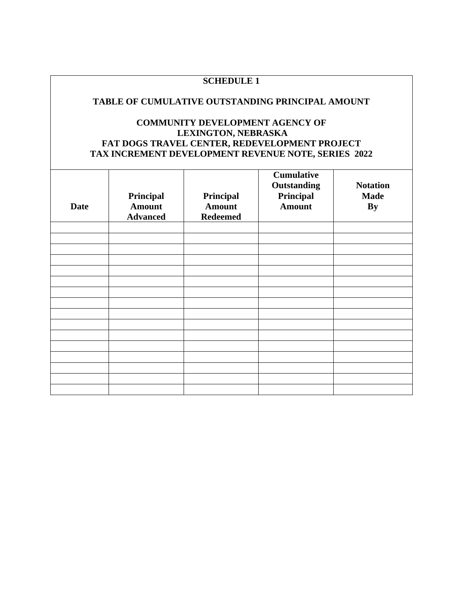# **SCHEDULE 1**

# **TABLE OF CUMULATIVE OUTSTANDING PRINCIPAL AMOUNT**

# **COMMUNITY DEVELOPMENT AGENCY OF LEXINGTON, NEBRASKA FAT DOGS TRAVEL CENTER, REDEVELOPMENT PROJECT TAX INCREMENT DEVELOPMENT REVENUE NOTE, SERIES 2022**

| <b>Date</b> | Principal<br><b>Amount</b><br><b>Advanced</b> | Principal<br><b>Amount</b><br><b>Redeemed</b> | <b>Cumulative</b><br>Outstanding<br>Principal<br><b>Amount</b> | <b>Notation</b><br><b>Made</b><br><b>By</b> |
|-------------|-----------------------------------------------|-----------------------------------------------|----------------------------------------------------------------|---------------------------------------------|
|             |                                               |                                               |                                                                |                                             |
|             |                                               |                                               |                                                                |                                             |
|             |                                               |                                               |                                                                |                                             |
|             |                                               |                                               |                                                                |                                             |
|             |                                               |                                               |                                                                |                                             |
|             |                                               |                                               |                                                                |                                             |
|             |                                               |                                               |                                                                |                                             |
|             |                                               |                                               |                                                                |                                             |
|             |                                               |                                               |                                                                |                                             |
|             |                                               |                                               |                                                                |                                             |
|             |                                               |                                               |                                                                |                                             |
|             |                                               |                                               |                                                                |                                             |
|             |                                               |                                               |                                                                |                                             |
|             |                                               |                                               |                                                                |                                             |
|             |                                               |                                               |                                                                |                                             |
|             |                                               |                                               |                                                                |                                             |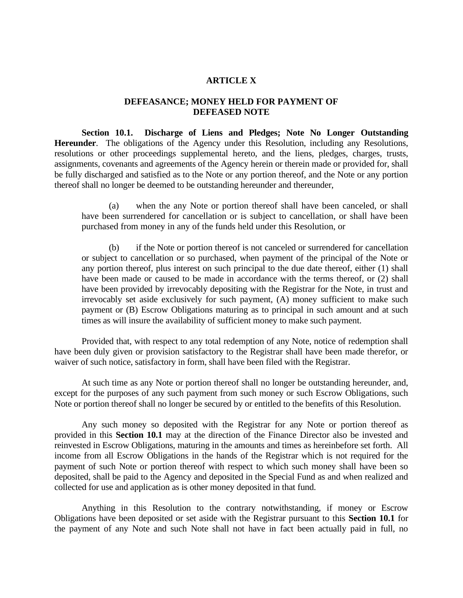# **ARTICLE X**

## **DEFEASANCE; MONEY HELD FOR PAYMENT OF DEFEASED NOTE**

**Section 10.1. Discharge of Liens and Pledges; Note No Longer Outstanding Hereunder**. The obligations of the Agency under this Resolution, including any Resolutions, resolutions or other proceedings supplemental hereto, and the liens, pledges, charges, trusts, assignments, covenants and agreements of the Agency herein or therein made or provided for, shall be fully discharged and satisfied as to the Note or any portion thereof, and the Note or any portion thereof shall no longer be deemed to be outstanding hereunder and thereunder,

(a) when the any Note or portion thereof shall have been canceled, or shall have been surrendered for cancellation or is subject to cancellation, or shall have been purchased from money in any of the funds held under this Resolution, or

(b) if the Note or portion thereof is not canceled or surrendered for cancellation or subject to cancellation or so purchased, when payment of the principal of the Note or any portion thereof, plus interest on such principal to the due date thereof, either (1) shall have been made or caused to be made in accordance with the terms thereof, or (2) shall have been provided by irrevocably depositing with the Registrar for the Note, in trust and irrevocably set aside exclusively for such payment, (A) money sufficient to make such payment or (B) Escrow Obligations maturing as to principal in such amount and at such times as will insure the availability of sufficient money to make such payment.

Provided that, with respect to any total redemption of any Note, notice of redemption shall have been duly given or provision satisfactory to the Registrar shall have been made therefor, or waiver of such notice, satisfactory in form, shall have been filed with the Registrar.

At such time as any Note or portion thereof shall no longer be outstanding hereunder, and, except for the purposes of any such payment from such money or such Escrow Obligations, such Note or portion thereof shall no longer be secured by or entitled to the benefits of this Resolution.

Any such money so deposited with the Registrar for any Note or portion thereof as provided in this **Section 10.1** may at the direction of the Finance Director also be invested and reinvested in Escrow Obligations, maturing in the amounts and times as hereinbefore set forth. All income from all Escrow Obligations in the hands of the Registrar which is not required for the payment of such Note or portion thereof with respect to which such money shall have been so deposited, shall be paid to the Agency and deposited in the Special Fund as and when realized and collected for use and application as is other money deposited in that fund.

Anything in this Resolution to the contrary notwithstanding, if money or Escrow Obligations have been deposited or set aside with the Registrar pursuant to this **Section 10.1** for the payment of any Note and such Note shall not have in fact been actually paid in full, no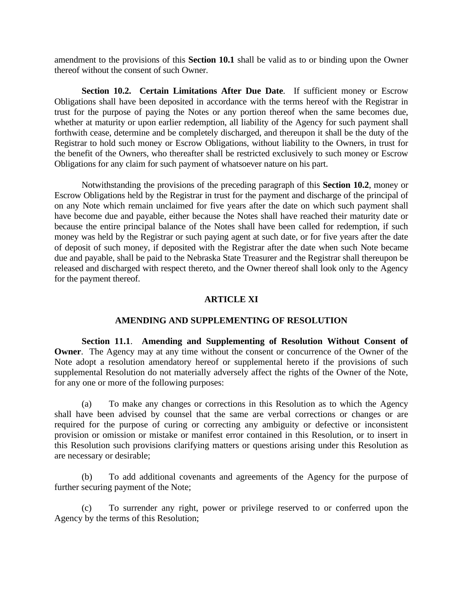amendment to the provisions of this **Section 10.1** shall be valid as to or binding upon the Owner thereof without the consent of such Owner.

**Section 10.2. Certain Limitations After Due Date**. If sufficient money or Escrow Obligations shall have been deposited in accordance with the terms hereof with the Registrar in trust for the purpose of paying the Notes or any portion thereof when the same becomes due, whether at maturity or upon earlier redemption, all liability of the Agency for such payment shall forthwith cease, determine and be completely discharged, and thereupon it shall be the duty of the Registrar to hold such money or Escrow Obligations, without liability to the Owners, in trust for the benefit of the Owners, who thereafter shall be restricted exclusively to such money or Escrow Obligations for any claim for such payment of whatsoever nature on his part.

Notwithstanding the provisions of the preceding paragraph of this **Section 10.2**, money or Escrow Obligations held by the Registrar in trust for the payment and discharge of the principal of on any Note which remain unclaimed for five years after the date on which such payment shall have become due and payable, either because the Notes shall have reached their maturity date or because the entire principal balance of the Notes shall have been called for redemption, if such money was held by the Registrar or such paying agent at such date, or for five years after the date of deposit of such money, if deposited with the Registrar after the date when such Note became due and payable, shall be paid to the Nebraska State Treasurer and the Registrar shall thereupon be released and discharged with respect thereto, and the Owner thereof shall look only to the Agency for the payment thereof.

## **ARTICLE XI**

## **AMENDING AND SUPPLEMENTING OF RESOLUTION**

**Section 11.1**. **Amending and Supplementing of Resolution Without Consent of Owner**. The Agency may at any time without the consent or concurrence of the Owner of the Note adopt a resolution amendatory hereof or supplemental hereto if the provisions of such supplemental Resolution do not materially adversely affect the rights of the Owner of the Note, for any one or more of the following purposes:

(a) To make any changes or corrections in this Resolution as to which the Agency shall have been advised by counsel that the same are verbal corrections or changes or are required for the purpose of curing or correcting any ambiguity or defective or inconsistent provision or omission or mistake or manifest error contained in this Resolution, or to insert in this Resolution such provisions clarifying matters or questions arising under this Resolution as are necessary or desirable;

(b) To add additional covenants and agreements of the Agency for the purpose of further securing payment of the Note;

(c) To surrender any right, power or privilege reserved to or conferred upon the Agency by the terms of this Resolution;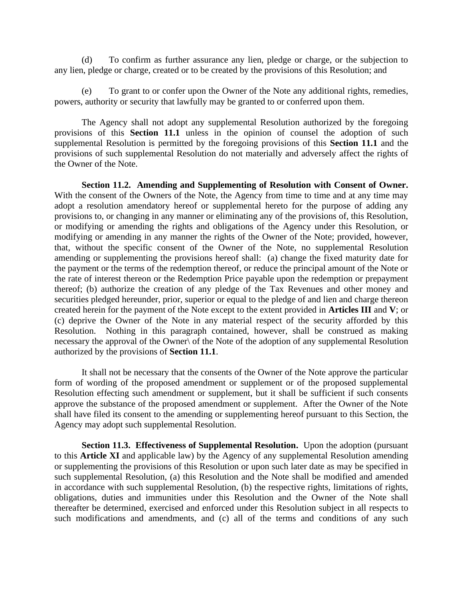(d) To confirm as further assurance any lien, pledge or charge, or the subjection to any lien, pledge or charge, created or to be created by the provisions of this Resolution; and

(e) To grant to or confer upon the Owner of the Note any additional rights, remedies, powers, authority or security that lawfully may be granted to or conferred upon them.

The Agency shall not adopt any supplemental Resolution authorized by the foregoing provisions of this **Section 11.1** unless in the opinion of counsel the adoption of such supplemental Resolution is permitted by the foregoing provisions of this **Section 11.1** and the provisions of such supplemental Resolution do not materially and adversely affect the rights of the Owner of the Note.

**Section 11.2. Amending and Supplementing of Resolution with Consent of Owner.** With the consent of the Owners of the Note, the Agency from time to time and at any time may adopt a resolution amendatory hereof or supplemental hereto for the purpose of adding any provisions to, or changing in any manner or eliminating any of the provisions of, this Resolution, or modifying or amending the rights and obligations of the Agency under this Resolution, or modifying or amending in any manner the rights of the Owner of the Note; provided, however, that, without the specific consent of the Owner of the Note, no supplemental Resolution amending or supplementing the provisions hereof shall: (a) change the fixed maturity date for the payment or the terms of the redemption thereof, or reduce the principal amount of the Note or the rate of interest thereon or the Redemption Price payable upon the redemption or prepayment thereof; (b) authorize the creation of any pledge of the Tax Revenues and other money and securities pledged hereunder, prior, superior or equal to the pledge of and lien and charge thereon created herein for the payment of the Note except to the extent provided in **Articles III** and **V**; or (c) deprive the Owner of the Note in any material respect of the security afforded by this Resolution. Nothing in this paragraph contained, however, shall be construed as making necessary the approval of the Owner\ of the Note of the adoption of any supplemental Resolution authorized by the provisions of **Section 11.1**.

It shall not be necessary that the consents of the Owner of the Note approve the particular form of wording of the proposed amendment or supplement or of the proposed supplemental Resolution effecting such amendment or supplement, but it shall be sufficient if such consents approve the substance of the proposed amendment or supplement. After the Owner of the Note shall have filed its consent to the amending or supplementing hereof pursuant to this Section, the Agency may adopt such supplemental Resolution.

**Section 11.3. Effectiveness of Supplemental Resolution.** Upon the adoption (pursuant to this **Article XI** and applicable law) by the Agency of any supplemental Resolution amending or supplementing the provisions of this Resolution or upon such later date as may be specified in such supplemental Resolution, (a) this Resolution and the Note shall be modified and amended in accordance with such supplemental Resolution, (b) the respective rights, limitations of rights, obligations, duties and immunities under this Resolution and the Owner of the Note shall thereafter be determined, exercised and enforced under this Resolution subject in all respects to such modifications and amendments, and (c) all of the terms and conditions of any such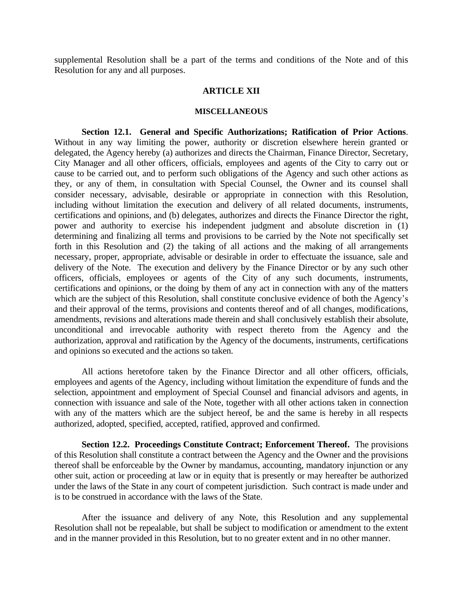supplemental Resolution shall be a part of the terms and conditions of the Note and of this Resolution for any and all purposes.

## **ARTICLE XII**

### **MISCELLANEOUS**

**Section 12.1. General and Specific Authorizations; Ratification of Prior Actions**. Without in any way limiting the power, authority or discretion elsewhere herein granted or delegated, the Agency hereby (a) authorizes and directs the Chairman, Finance Director, Secretary, City Manager and all other officers, officials, employees and agents of the City to carry out or cause to be carried out, and to perform such obligations of the Agency and such other actions as they, or any of them, in consultation with Special Counsel, the Owner and its counsel shall consider necessary, advisable, desirable or appropriate in connection with this Resolution, including without limitation the execution and delivery of all related documents, instruments, certifications and opinions, and (b) delegates, authorizes and directs the Finance Director the right, power and authority to exercise his independent judgment and absolute discretion in (1) determining and finalizing all terms and provisions to be carried by the Note not specifically set forth in this Resolution and (2) the taking of all actions and the making of all arrangements necessary, proper, appropriate, advisable or desirable in order to effectuate the issuance, sale and delivery of the Note. The execution and delivery by the Finance Director or by any such other officers, officials, employees or agents of the City of any such documents, instruments, certifications and opinions, or the doing by them of any act in connection with any of the matters which are the subject of this Resolution, shall constitute conclusive evidence of both the Agency's and their approval of the terms, provisions and contents thereof and of all changes, modifications, amendments, revisions and alterations made therein and shall conclusively establish their absolute, unconditional and irrevocable authority with respect thereto from the Agency and the authorization, approval and ratification by the Agency of the documents, instruments, certifications and opinions so executed and the actions so taken.

All actions heretofore taken by the Finance Director and all other officers, officials, employees and agents of the Agency, including without limitation the expenditure of funds and the selection, appointment and employment of Special Counsel and financial advisors and agents, in connection with issuance and sale of the Note, together with all other actions taken in connection with any of the matters which are the subject hereof, be and the same is hereby in all respects authorized, adopted, specified, accepted, ratified, approved and confirmed.

**Section 12.2. Proceedings Constitute Contract; Enforcement Thereof.** The provisions of this Resolution shall constitute a contract between the Agency and the Owner and the provisions thereof shall be enforceable by the Owner by mandamus, accounting, mandatory injunction or any other suit, action or proceeding at law or in equity that is presently or may hereafter be authorized under the laws of the State in any court of competent jurisdiction. Such contract is made under and is to be construed in accordance with the laws of the State.

After the issuance and delivery of any Note, this Resolution and any supplemental Resolution shall not be repealable, but shall be subject to modification or amendment to the extent and in the manner provided in this Resolution, but to no greater extent and in no other manner.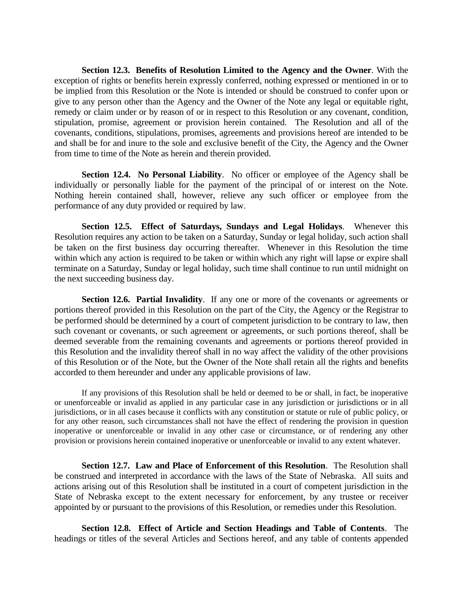**Section 12.3. Benefits of Resolution Limited to the Agency and the Owner**. With the exception of rights or benefits herein expressly conferred, nothing expressed or mentioned in or to be implied from this Resolution or the Note is intended or should be construed to confer upon or give to any person other than the Agency and the Owner of the Note any legal or equitable right, remedy or claim under or by reason of or in respect to this Resolution or any covenant, condition, stipulation, promise, agreement or provision herein contained. The Resolution and all of the covenants, conditions, stipulations, promises, agreements and provisions hereof are intended to be and shall be for and inure to the sole and exclusive benefit of the City, the Agency and the Owner from time to time of the Note as herein and therein provided.

**Section 12.4. No Personal Liability**. No officer or employee of the Agency shall be individually or personally liable for the payment of the principal of or interest on the Note. Nothing herein contained shall, however, relieve any such officer or employee from the performance of any duty provided or required by law.

**Section 12.5. Effect of Saturdays, Sundays and Legal Holidays**. Whenever this Resolution requires any action to be taken on a Saturday, Sunday or legal holiday, such action shall be taken on the first business day occurring thereafter. Whenever in this Resolution the time within which any action is required to be taken or within which any right will lapse or expire shall terminate on a Saturday, Sunday or legal holiday, such time shall continue to run until midnight on the next succeeding business day.

**Section 12.6. Partial Invalidity**. If any one or more of the covenants or agreements or portions thereof provided in this Resolution on the part of the City, the Agency or the Registrar to be performed should be determined by a court of competent jurisdiction to be contrary to law, then such covenant or covenants, or such agreement or agreements, or such portions thereof, shall be deemed severable from the remaining covenants and agreements or portions thereof provided in this Resolution and the invalidity thereof shall in no way affect the validity of the other provisions of this Resolution or of the Note, but the Owner of the Note shall retain all the rights and benefits accorded to them hereunder and under any applicable provisions of law.

If any provisions of this Resolution shall be held or deemed to be or shall, in fact, be inoperative or unenforceable or invalid as applied in any particular case in any jurisdiction or jurisdictions or in all jurisdictions, or in all cases because it conflicts with any constitution or statute or rule of public policy, or for any other reason, such circumstances shall not have the effect of rendering the provision in question inoperative or unenforceable or invalid in any other case or circumstance, or of rendering any other provision or provisions herein contained inoperative or unenforceable or invalid to any extent whatever.

**Section 12.7. Law and Place of Enforcement of this Resolution**. The Resolution shall be construed and interpreted in accordance with the laws of the State of Nebraska. All suits and actions arising out of this Resolution shall be instituted in a court of competent jurisdiction in the State of Nebraska except to the extent necessary for enforcement, by any trustee or receiver appointed by or pursuant to the provisions of this Resolution, or remedies under this Resolution.

**Section 12.8. Effect of Article and Section Headings and Table of Contents**. The headings or titles of the several Articles and Sections hereof, and any table of contents appended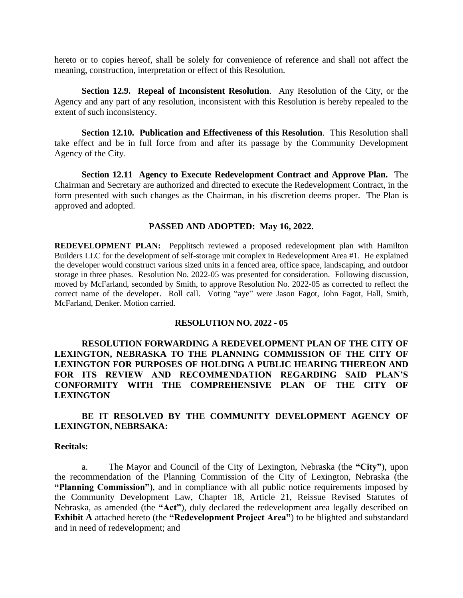hereto or to copies hereof, shall be solely for convenience of reference and shall not affect the meaning, construction, interpretation or effect of this Resolution.

**Section 12.9. Repeal of Inconsistent Resolution**. Any Resolution of the City, or the Agency and any part of any resolution, inconsistent with this Resolution is hereby repealed to the extent of such inconsistency.

**Section 12.10. Publication and Effectiveness of this Resolution**. This Resolution shall take effect and be in full force from and after its passage by the Community Development Agency of the City.

**Section 12.11 Agency to Execute Redevelopment Contract and Approve Plan.** The Chairman and Secretary are authorized and directed to execute the Redevelopment Contract, in the form presented with such changes as the Chairman, in his discretion deems proper. The Plan is approved and adopted.

## **PASSED AND ADOPTED: May 16, 2022.**

**REDEVELOPMENT PLAN:** Pepplitsch reviewed a proposed redevelopment plan with Hamilton Builders LLC for the development of self-storage unit complex in Redevelopment Area #1. He explained the developer would construct various sized units in a fenced area, office space, landscaping, and outdoor storage in three phases. Resolution No. 2022-05 was presented for consideration. Following discussion, moved by McFarland, seconded by Smith, to approve Resolution No. 2022-05 as corrected to reflect the correct name of the developer. Roll call. Voting "aye" were Jason Fagot, John Fagot, Hall, Smith, McFarland, Denker. Motion carried.

#### **RESOLUTION NO. 2022 - 05**

# **RESOLUTION FORWARDING A REDEVELOPMENT PLAN OF THE CITY OF LEXINGTON, NEBRASKA TO THE PLANNING COMMISSION OF THE CITY OF LEXINGTON FOR PURPOSES OF HOLDING A PUBLIC HEARING THEREON AND FOR ITS REVIEW AND RECOMMENDATION REGARDING SAID PLAN'S CONFORMITY WITH THE COMPREHENSIVE PLAN OF THE CITY OF LEXINGTON**

# **BE IT RESOLVED BY THE COMMUNITY DEVELOPMENT AGENCY OF LEXINGTON, NEBRSAKA:**

#### **Recitals:**

a. The Mayor and Council of the City of Lexington, Nebraska (the **"City"**), upon the recommendation of the Planning Commission of the City of Lexington, Nebraska (the **"Planning Commission"**), and in compliance with all public notice requirements imposed by the Community Development Law, Chapter 18, Article 21, Reissue Revised Statutes of Nebraska, as amended (the **"Act"**), duly declared the redevelopment area legally described on **Exhibit A** attached hereto (the **"Redevelopment Project Area"**) to be blighted and substandard and in need of redevelopment; and